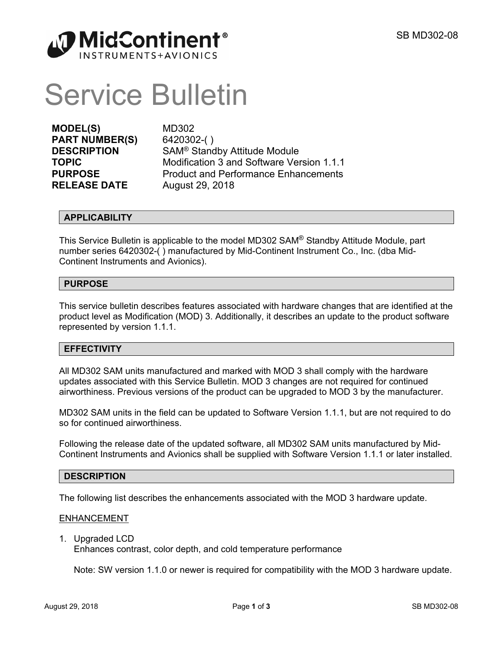

# Service Bulletin

**MODEL(S)** MD302 **PART NUMBER(S)** 6420302-( ) **RELEASE DATE** August 29, 2018

**DESCRIPTION** SAM<sup>®</sup> Standby Attitude Module **TOPIC** Modification 3 and Software Version 1.1.1 **PURPOSE** Product and Performance Enhancements

# **APPLICABILITY**

This Service Bulletin is applicable to the model MD302 SAM® Standby Attitude Module, part number series 6420302-( ) manufactured by Mid-Continent Instrument Co., Inc. (dba Mid-Continent Instruments and Avionics).

# **PURPOSE**

This service bulletin describes features associated with hardware changes that are identified at the product level as Modification (MOD) 3. Additionally, it describes an update to the product software represented by version 1.1.1.

# **EFFECTIVITY**

All MD302 SAM units manufactured and marked with MOD 3 shall comply with the hardware updates associated with this Service Bulletin. MOD 3 changes are not required for continued airworthiness. Previous versions of the product can be upgraded to MOD 3 by the manufacturer.

MD302 SAM units in the field can be updated to Software Version 1.1.1, but are not required to do so for continued airworthiness.

Following the release date of the updated software, all MD302 SAM units manufactured by Mid-Continent Instruments and Avionics shall be supplied with Software Version 1.1.1 or later installed.

# **DESCRIPTION**

The following list describes the enhancements associated with the MOD 3 hardware update.

# ENHANCEMENT

1. Upgraded LCD

Enhances contrast, color depth, and cold temperature performance

Note: SW version 1.1.0 or newer is required for compatibility with the MOD 3 hardware update.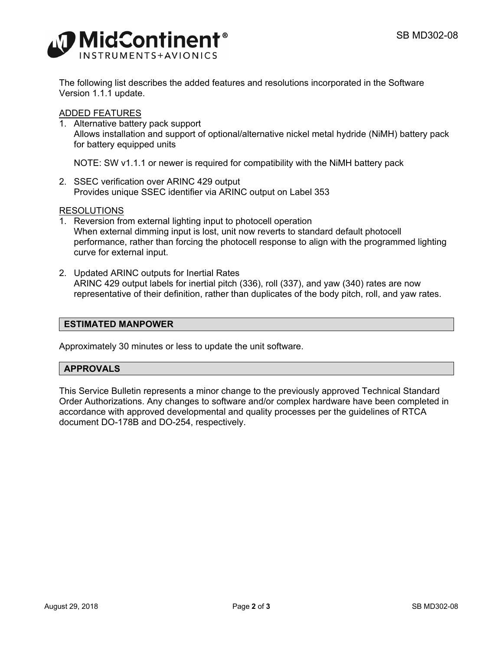

The following list describes the added features and resolutions incorporated in the Software Version 1.1.1 update.

# ADDED FEATURES

1. Alternative battery pack support Allows installation and support of optional/alternative nickel metal hydride (NiMH) battery pack for battery equipped units

NOTE: SW v1.1.1 or newer is required for compatibility with the NiMH battery pack

2. SSEC verification over ARINC 429 output Provides unique SSEC identifier via ARINC output on Label 353

# RESOLUTIONS

- 1. Reversion from external lighting input to photocell operation When external dimming input is lost, unit now reverts to standard default photocell performance, rather than forcing the photocell response to align with the programmed lighting curve for external input.
- 2. Updated ARINC outputs for Inertial Rates ARINC 429 output labels for inertial pitch (336), roll (337), and yaw (340) rates are now representative of their definition, rather than duplicates of the body pitch, roll, and yaw rates.

# **ESTIMATED MANPOWER**

Approximately 30 minutes or less to update the unit software.

#### **APPROVALS**

This Service Bulletin represents a minor change to the previously approved Technical Standard Order Authorizations. Any changes to software and/or complex hardware have been completed in accordance with approved developmental and quality processes per the guidelines of RTCA document DO-178B and DO-254, respectively.